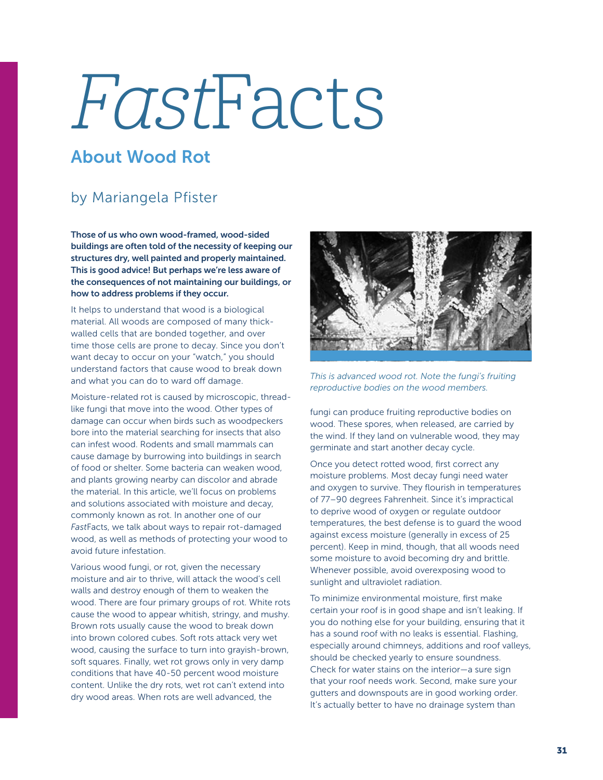## FastFacts

## About Wood Rot

## by Mariangela Pfister

Those of us who own wood-framed, wood-sided buildings are often told of the necessity of keeping our structures dry, well painted and properly maintained. This is good advice! But perhaps we're less aware of the consequences of not maintaining our buildings, or how to address problems if they occur.

It helps to understand that wood is a biological material. All woods are composed of many thickwalled cells that are bonded together, and over time those cells are prone to decay. Since you don't want decay to occur on your "watch," you should understand factors that cause wood to break down and what you can do to ward off damage.

Moisture-related rot is caused by microscopic, threadlike fungi that move into the wood. Other types of damage can occur when birds such as woodpeckers bore into the material searching for insects that also can infest wood. Rodents and small mammals can cause damage by burrowing into buildings in search of food or shelter. Some bacteria can weaken wood, and plants growing nearby can discolor and abrade the material. In this article, we'll focus on problems and solutions associated with moisture and decay, commonly known as rot. In another one of our *Fast*Facts, we talk about ways to repair rot-damaged wood, as well as methods of protecting your wood to avoid future infestation.

Various wood fungi, or rot, given the necessary moisture and air to thrive, will attack the wood's cell walls and destroy enough of them to weaken the wood. There are four primary groups of rot. White rots cause the wood to appear whitish, stringy, and mushy. Brown rots usually cause the wood to break down into brown colored cubes. Soft rots attack very wet wood, causing the surface to turn into grayish-brown, soft squares. Finally, wet rot grows only in very damp conditions that have 40-50 percent wood moisture content. Unlike the dry rots, wet rot can't extend into dry wood areas. When rots are well advanced, the



*This is advanced wood rot. Note the fungi's fruiting reproductive bodies on the wood members.*

fungi can produce fruiting reproductive bodies on wood. These spores, when released, are carried by the wind. If they land on vulnerable wood, they may germinate and start another decay cycle.

Once you detect rotted wood, first correct any moisture problems. Most decay fungi need water and oxygen to survive. They flourish in temperatures of 77–90 degrees Fahrenheit. Since it's impractical to deprive wood of oxygen or regulate outdoor temperatures, the best defense is to guard the wood against excess moisture (generally in excess of 25 percent). Keep in mind, though, that all woods need some moisture to avoid becoming dry and brittle. Whenever possible, avoid overexposing wood to sunlight and ultraviolet radiation.

To minimize environmental moisture, first make certain your roof is in good shape and isn't leaking. If you do nothing else for your building, ensuring that it has a sound roof with no leaks is essential. Flashing, especially around chimneys, additions and roof valleys, should be checked yearly to ensure soundness. Check for water stains on the interior—a sure sign that your roof needs work. Second, make sure your gutters and downspouts are in good working order. It's actually better to have no drainage system than